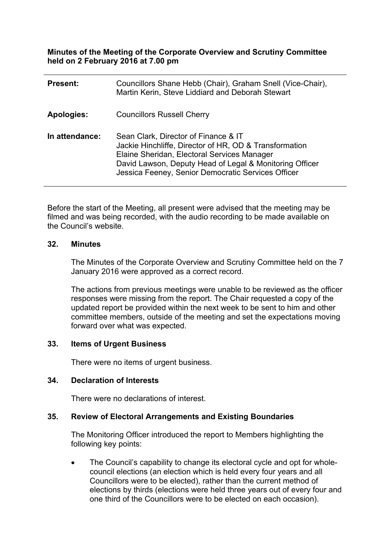**Minutes of the Meeting of the Corporate Overview and Scrutiny Committee held on 2 February 2016 at 7.00 pm**

| <b>Present:</b> | Councillors Shane Hebb (Chair), Graham Snell (Vice-Chair),<br>Martin Kerin, Steve Liddiard and Deborah Stewart                                                                                                                                                 |
|-----------------|----------------------------------------------------------------------------------------------------------------------------------------------------------------------------------------------------------------------------------------------------------------|
| Apologies:      | <b>Councillors Russell Cherry</b>                                                                                                                                                                                                                              |
| In attendance:  | Sean Clark, Director of Finance & IT<br>Jackie Hinchliffe, Director of HR, OD & Transformation<br>Elaine Sheridan, Electoral Services Manager<br>David Lawson, Deputy Head of Legal & Monitoring Officer<br>Jessica Feeney, Senior Democratic Services Officer |

Before the start of the Meeting, all present were advised that the meeting may be filmed and was being recorded, with the audio recording to be made available on the Council's website.

### **32. Minutes**

The Minutes of the Corporate Overview and Scrutiny Committee held on the 7 January 2016 were approved as a correct record.

The actions from previous meetings were unable to be reviewed as the officer responses were missing from the report. The Chair requested a copy of the updated report be provided within the next week to be sent to him and other committee members, outside of the meeting and set the expectations moving forward over what was expected.

### **33. Items of Urgent Business**

There were no items of urgent business.

### **34. Declaration of Interests**

There were no declarations of interest.

### **35. Review of Electoral Arrangements and Existing Boundaries**

The Monitoring Officer introduced the report to Members highlighting the following key points:

• The Council's capability to change its electoral cycle and opt for wholecouncil elections (an election which is held every four years and all Councillors were to be elected), rather than the current method of elections by thirds (elections were held three years out of every four and one third of the Councillors were to be elected on each occasion).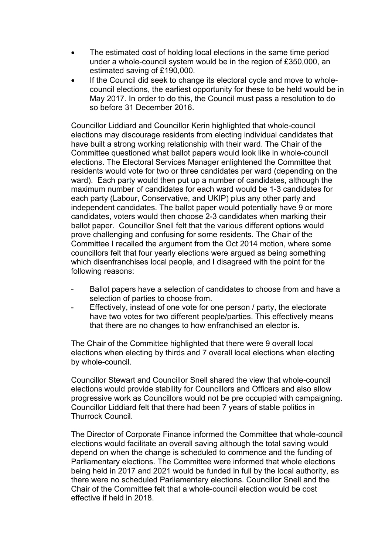- The estimated cost of holding local elections in the same time period under a whole-council system would be in the region of £350,000, an estimated saving of £190,000.
- If the Council did seek to change its electoral cycle and move to wholecouncil elections, the earliest opportunity for these to be held would be in May 2017. In order to do this, the Council must pass a resolution to do so before 31 December 2016.

Councillor Liddiard and Councillor Kerin highlighted that whole-council elections may discourage residents from electing individual candidates that have built a strong working relationship with their ward. The Chair of the Committee questioned what ballot papers would look like in whole-council elections. The Electoral Services Manager enlightened the Committee that residents would vote for two or three candidates per ward (depending on the ward). Each party would then put up a number of candidates, although the maximum number of candidates for each ward would be 1-3 candidates for each party (Labour, Conservative, and UKIP) plus any other party and independent candidates. The ballot paper would potentially have 9 or more candidates, voters would then choose 2-3 candidates when marking their ballot paper. Councillor Snell felt that the various different options would prove challenging and confusing for some residents. The Chair of the Committee I recalled the argument from the Oct 2014 motion, where some councillors felt that four yearly elections were argued as being something which disenfranchises local people, and I disagreed with the point for the following reasons:

- Ballot papers have a selection of candidates to choose from and have a selection of parties to choose from.
- Effectively, instead of one vote for one person / party, the electorate have two votes for two different people/parties. This effectively means that there are no changes to how enfranchised an elector is.

The Chair of the Committee highlighted that there were 9 overall local elections when electing by thirds and 7 overall local elections when electing by whole-council.

Councillor Stewart and Councillor Snell shared the view that whole-council elections would provide stability for Councillors and Officers and also allow progressive work as Councillors would not be pre occupied with campaigning. Councillor Liddiard felt that there had been 7 years of stable politics in Thurrock Council.

The Director of Corporate Finance informed the Committee that whole-council elections would facilitate an overall saving although the total saving would depend on when the change is scheduled to commence and the funding of Parliamentary elections. The Committee were informed that whole elections being held in 2017 and 2021 would be funded in full by the local authority, as there were no scheduled Parliamentary elections. Councillor Snell and the Chair of the Committee felt that a whole-council election would be cost effective if held in 2018.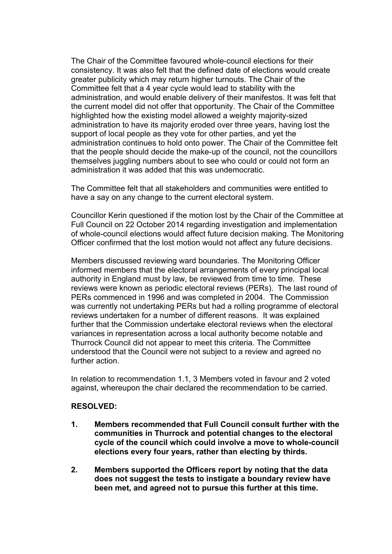The Chair of the Committee favoured whole-council elections for their consistency. It was also felt that the defined date of elections would create greater publicity which may return higher turnouts. The Chair of the Committee felt that a 4 year cycle would lead to stability with the administration, and would enable delivery of their manifestos. It was felt that the current model did not offer that opportunity. The Chair of the Committee highlighted how the existing model allowed a weighty majority-sized administration to have its majority eroded over three years, having lost the support of local people as they vote for other parties, and yet the administration continues to hold onto power. The Chair of the Committee felt that the people should decide the make-up of the council, not the councillors themselves juggling numbers about to see who could or could not form an administration it was added that this was undemocratic.

The Committee felt that all stakeholders and communities were entitled to have a say on any change to the current electoral system.

Councillor Kerin questioned if the motion lost by the Chair of the Committee at Full Council on 22 October 2014 regarding investigation and implementation of whole-council elections would affect future decision making. The Monitoring Officer confirmed that the lost motion would not affect any future decisions.

Members discussed reviewing ward boundaries. The Monitoring Officer informed members that the electoral arrangements of every principal local authority in England must by law, be reviewed from time to time. These reviews were known as periodic electoral reviews (PERs). The last round of PERs commenced in 1996 and was completed in 2004. The Commission was currently not undertaking PERs but had a rolling programme of electoral reviews undertaken for a number of different reasons. It was explained further that the Commission undertake electoral reviews when the electoral variances in representation across a local authority become notable and Thurrock Council did not appear to meet this criteria. The Committee understood that the Council were not subject to a review and agreed no further action

In relation to recommendation 1.1, 3 Members voted in favour and 2 voted against, whereupon the chair declared the recommendation to be carried.

### **RESOLVED:**

- **1. Members recommended that Full Council consult further with the communities in Thurrock and potential changes to the electoral cycle of the council which could involve a move to whole-council elections every four years, rather than electing by thirds.**
- **2. Members supported the Officers report by noting that the data does not suggest the tests to instigate a boundary review have been met, and agreed not to pursue this further at this time.**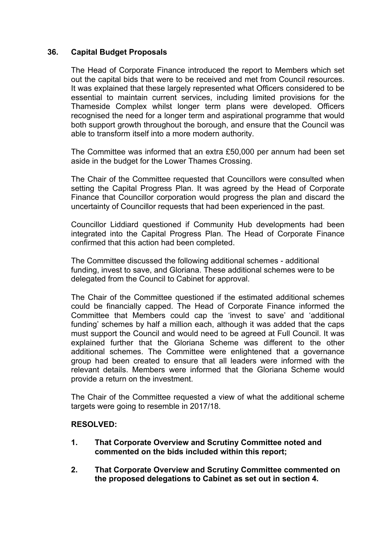## **36. Capital Budget Proposals**

The Head of Corporate Finance introduced the report to Members which set out the capital bids that were to be received and met from Council resources. It was explained that these largely represented what Officers considered to be essential to maintain current services, including limited provisions for the Thameside Complex whilst longer term plans were developed. Officers recognised the need for a longer term and aspirational programme that would both support growth throughout the borough, and ensure that the Council was able to transform itself into a more modern authority.

The Committee was informed that an extra £50,000 per annum had been set aside in the budget for the Lower Thames Crossing.

The Chair of the Committee requested that Councillors were consulted when setting the Capital Progress Plan. It was agreed by the Head of Corporate Finance that Councillor corporation would progress the plan and discard the uncertainty of Councillor requests that had been experienced in the past.

Councillor Liddiard questioned if Community Hub developments had been integrated into the Capital Progress Plan. The Head of Corporate Finance confirmed that this action had been completed.

The Committee discussed the following additional schemes - additional funding, invest to save, and Gloriana. These additional schemes were to be delegated from the Council to Cabinet for approval.

The Chair of the Committee questioned if the estimated additional schemes could be financially capped. The Head of Corporate Finance informed the Committee that Members could cap the 'invest to save' and 'additional funding' schemes by half a million each, although it was added that the caps must support the Council and would need to be agreed at Full Council. It was explained further that the Gloriana Scheme was different to the other additional schemes. The Committee were enlightened that a governance group had been created to ensure that all leaders were informed with the relevant details. Members were informed that the Gloriana Scheme would provide a return on the investment.

The Chair of the Committee requested a view of what the additional scheme targets were going to resemble in 2017/18.

### **RESOLVED:**

- **1. That Corporate Overview and Scrutiny Committee noted and commented on the bids included within this report;**
- **2. That Corporate Overview and Scrutiny Committee commented on the proposed delegations to Cabinet as set out in section 4.**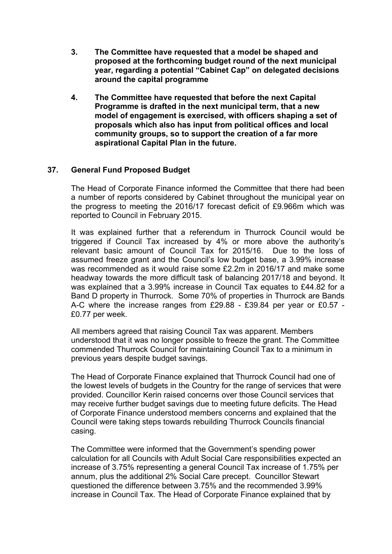- **3. The Committee have requested that a model be shaped and proposed at the forthcoming budget round of the next municipal year, regarding a potential "Cabinet Cap" on delegated decisions around the capital programme**
- **4. The Committee have requested that before the next Capital Programme is drafted in the next municipal term, that a new model of engagement is exercised, with officers shaping a set of proposals which also has input from political offices and local community groups, so to support the creation of a far more aspirational Capital Plan in the future.**

# **37. General Fund Proposed Budget**

The Head of Corporate Finance informed the Committee that there had been a number of reports considered by Cabinet throughout the municipal year on the progress to meeting the 2016/17 forecast deficit of £9.966m which was reported to Council in February 2015.

It was explained further that a referendum in Thurrock Council would be triggered if Council Tax increased by 4% or more above the authority's relevant basic amount of Council Tax for 2015/16. Due to the loss of assumed freeze grant and the Council's low budget base, a 3.99% increase was recommended as it would raise some £2.2m in 2016/17 and make some headway towards the more difficult task of balancing 2017/18 and beyond. It was explained that a 3.99% increase in Council Tax equates to £44.82 for a Band D property in Thurrock. Some 70% of properties in Thurrock are Bands A-C where the increase ranges from £29.88 - £39.84 per year or £0.57 - £0.77 per week.

All members agreed that raising Council Tax was apparent. Members understood that it was no longer possible to freeze the grant. The Committee commended Thurrock Council for maintaining Council Tax to a minimum in previous years despite budget savings.

The Head of Corporate Finance explained that Thurrock Council had one of the lowest levels of budgets in the Country for the range of services that were provided. Councillor Kerin raised concerns over those Council services that may receive further budget savings due to meeting future deficits. The Head of Corporate Finance understood members concerns and explained that the Council were taking steps towards rebuilding Thurrock Councils financial casing.

The Committee were informed that the Government's spending power calculation for all Councils with Adult Social Care responsibilities expected an increase of 3.75% representing a general Council Tax increase of 1.75% per annum, plus the additional 2% Social Care precept. Councillor Stewart questioned the difference between 3.75% and the recommended 3.99% increase in Council Tax. The Head of Corporate Finance explained that by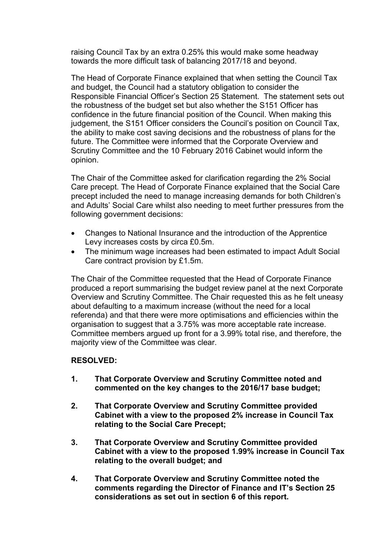raising Council Tax by an extra 0.25% this would make some headway towards the more difficult task of balancing 2017/18 and beyond.

The Head of Corporate Finance explained that when setting the Council Tax and budget, the Council had a statutory obligation to consider the Responsible Financial Officer's Section 25 Statement. The statement sets out the robustness of the budget set but also whether the S151 Officer has confidence in the future financial position of the Council. When making this judgement, the S151 Officer considers the Council's position on Council Tax, the ability to make cost saving decisions and the robustness of plans for the future. The Committee were informed that the Corporate Overview and Scrutiny Committee and the 10 February 2016 Cabinet would inform the opinion.

The Chair of the Committee asked for clarification regarding the 2% Social Care precept. The Head of Corporate Finance explained that the Social Care precept included the need to manage increasing demands for both Children's and Adults' Social Care whilst also needing to meet further pressures from the following government decisions:

- Changes to National Insurance and the introduction of the Apprentice Levy increases costs by circa £0.5m.
- The minimum wage increases had been estimated to impact Adult Social Care contract provision by £1.5m.

The Chair of the Committee requested that the Head of Corporate Finance produced a report summarising the budget review panel at the next Corporate Overview and Scrutiny Committee. The Chair requested this as he felt uneasy about defaulting to a maximum increase (without the need for a local referenda) and that there were more optimisations and efficiencies within the organisation to suggest that a 3.75% was more acceptable rate increase. Committee members argued up front for a 3.99% total rise, and therefore, the majority view of the Committee was clear.

## **RESOLVED:**

- **1. That Corporate Overview and Scrutiny Committee noted and commented on the key changes to the 2016/17 base budget;**
- **2. That Corporate Overview and Scrutiny Committee provided Cabinet with a view to the proposed 2% increase in Council Tax relating to the Social Care Precept;**
- **3. That Corporate Overview and Scrutiny Committee provided Cabinet with a view to the proposed 1.99% increase in Council Tax relating to the overall budget; and**
- **4. That Corporate Overview and Scrutiny Committee noted the comments regarding the Director of Finance and IT's Section 25 considerations as set out in section 6 of this report.**